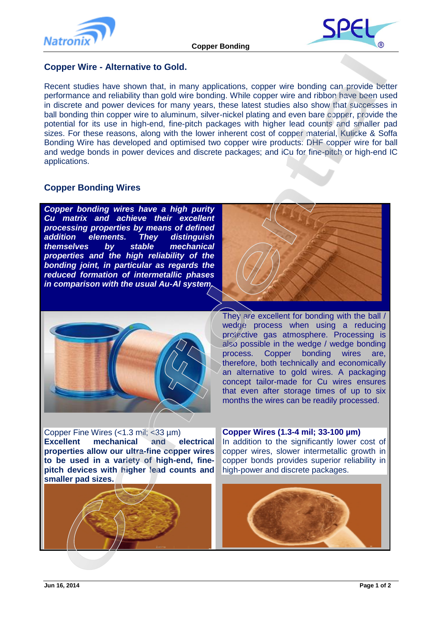



# **Copper Wire - Alternative to Gold.**

Recent studies have shown that, in many applications, copper wire bonding can provide better performance and reliability than gold wire bonding. While copper wire and ribbon have been used in discrete and power devices for many years, these latest studies also show that successes in ball bonding thin copper wire to aluminum, silver-nickel plating and even bare copper, provide the potential for its use in high-end, fine-pitch packages with higher lead counts and smaller pad sizes. For these reasons, along with the lower inherent cost of copper material, Kulicke & Soffa Bonding Wire has developed and optimised two copper wire products: DHF copper wire for ball and wedge bonds in power devices and discrete packages; and iCu for fine-pitch or high-end IC applications.

# **Copper Bonding Wires**

*Copper bonding wires have a high purity Cu matrix and achieve their excellent processing properties by means of defined addition elements. They distinguish themselves by stable mechanical properties and the high reliability of the bonding joint, in particular as regards the reduced formation of intermetallic phases in comparison with the usual Au-Al system.* 



They are excellent for bonding with the ball / wedge process when using a reducing protective gas atmosphere. Processing is also possible in the wedge / wedge bonding process. Copper bonding wires are, therefore, both technically and economically an alternative to gold wires. A packaging concept tailor-made for Cu wires ensures that even after storage times of up to six months the wires can be readily processed.

Copper Fine Wires (<1.3 mil; <33 µm) **Excellent mechanical and electrical properties allow our ultra-fine copper wires to be used in a variety of high-end, finepitch devices with higher lead counts and smaller pad sizes.**

**Copper Wires (1.3-4 mil; 33-100 µm)** In addition to the significantly lower cost of copper wires, slower intermetallic growth in copper bonds provides superior reliability in high-power and discrete packages.